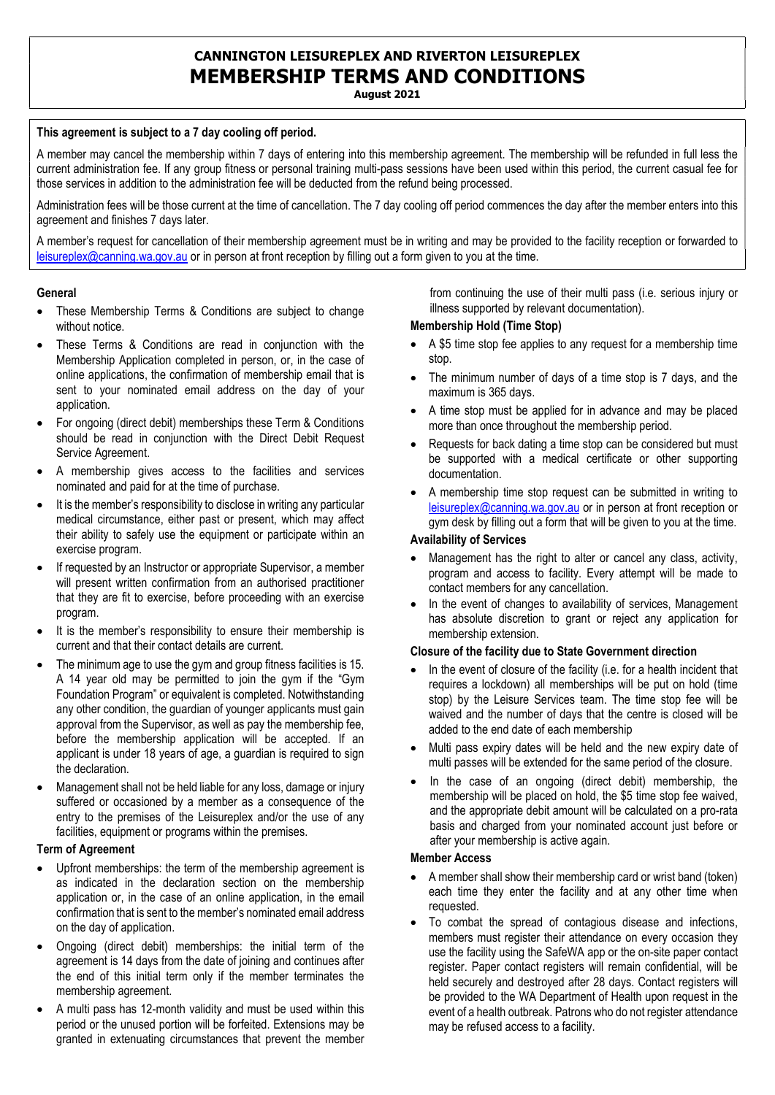# CANNINGTON LEISUREPLEX AND RIVERTON LEISUREPLEX MEMBERSHIP TERMS AND CONDITIONS

August 2021

### This agreement is subject to a 7 day cooling off period.

A member may cancel the membership within 7 days of entering into this membership agreement. The membership will be refunded in full less the current administration fee. If any group fitness or personal training multi-pass sessions have been used within this period, the current casual fee for those services in addition to the administration fee will be deducted from the refund being processed.

Administration fees will be those current at the time of cancellation. The 7 day cooling off period commences the day after the member enters into this agreement and finishes 7 days later.

A member's request for cancellation of their membership agreement must be in writing and may be provided to the facility reception or forwarded to leisureplex@canning.wa.gov.au or in person at front reception by filling out a form given to you at the time.

#### **General**

- These Membership Terms & Conditions are subject to change without notice
- These Terms & Conditions are read in conjunction with the Membership Application completed in person, or, in the case of online applications, the confirmation of membership email that is sent to your nominated email address on the day of your application.
- For ongoing (direct debit) memberships these Term & Conditions should be read in conjunction with the Direct Debit Request Service Agreement.
- A membership gives access to the facilities and services nominated and paid for at the time of purchase.
- It is the member's responsibility to disclose in writing any particular medical circumstance, either past or present, which may affect their ability to safely use the equipment or participate within an exercise program.
- If requested by an Instructor or appropriate Supervisor, a member will present written confirmation from an authorised practitioner that they are fit to exercise, before proceeding with an exercise program.
- It is the member's responsibility to ensure their membership is current and that their contact details are current.
- The minimum age to use the gym and group fitness facilities is 15. A 14 year old may be permitted to join the gym if the "Gym Foundation Program" or equivalent is completed. Notwithstanding any other condition, the guardian of younger applicants must gain approval from the Supervisor, as well as pay the membership fee, before the membership application will be accepted. If an applicant is under 18 years of age, a guardian is required to sign the declaration.
- Management shall not be held liable for any loss, damage or injury suffered or occasioned by a member as a consequence of the entry to the premises of the Leisureplex and/or the use of any facilities, equipment or programs within the premises.

## Term of Agreement

- Upfront memberships: the term of the membership agreement is as indicated in the declaration section on the membership application or, in the case of an online application, in the email confirmation that is sent to the member's nominated email address on the day of application.
- Ongoing (direct debit) memberships: the initial term of the agreement is 14 days from the date of joining and continues after the end of this initial term only if the member terminates the membership agreement.
- A multi pass has 12-month validity and must be used within this period or the unused portion will be forfeited. Extensions may be granted in extenuating circumstances that prevent the member

from continuing the use of their multi pass (i.e. serious injury or illness supported by relevant documentation).

### Membership Hold (Time Stop)

- A \$5 time stop fee applies to any request for a membership time stop.
- The minimum number of days of a time stop is 7 days, and the maximum is 365 days.
- A time stop must be applied for in advance and may be placed more than once throughout the membership period.
- Requests for back dating a time stop can be considered but must be supported with a medical certificate or other supporting documentation.
- A membership time stop request can be submitted in writing to leisureplex@canning.wa.gov.au or in person at front reception or gym desk by filling out a form that will be given to you at the time.

### Availability of Services

- Management has the right to alter or cancel any class, activity, program and access to facility. Every attempt will be made to contact members for any cancellation.
- In the event of changes to availability of services, Management has absolute discretion to grant or reject any application for membership extension.

### Closure of the facility due to State Government direction

- In the event of closure of the facility (i.e. for a health incident that requires a lockdown) all memberships will be put on hold (time stop) by the Leisure Services team. The time stop fee will be waived and the number of days that the centre is closed will be added to the end date of each membership
- Multi pass expiry dates will be held and the new expiry date of multi passes will be extended for the same period of the closure.
- In the case of an ongoing (direct debit) membership, the membership will be placed on hold, the \$5 time stop fee waived, and the appropriate debit amount will be calculated on a pro-rata basis and charged from your nominated account just before or after your membership is active again.

#### Member Access

- A member shall show their membership card or wrist band (token) each time they enter the facility and at any other time when requested.
- To combat the spread of contagious disease and infections, members must register their attendance on every occasion they use the facility using the SafeWA app or the on-site paper contact register. Paper contact registers will remain confidential, will be held securely and destroyed after 28 days. Contact registers will be provided to the WA Department of Health upon request in the event of a health outbreak. Patrons who do not register attendance may be refused access to a facility.